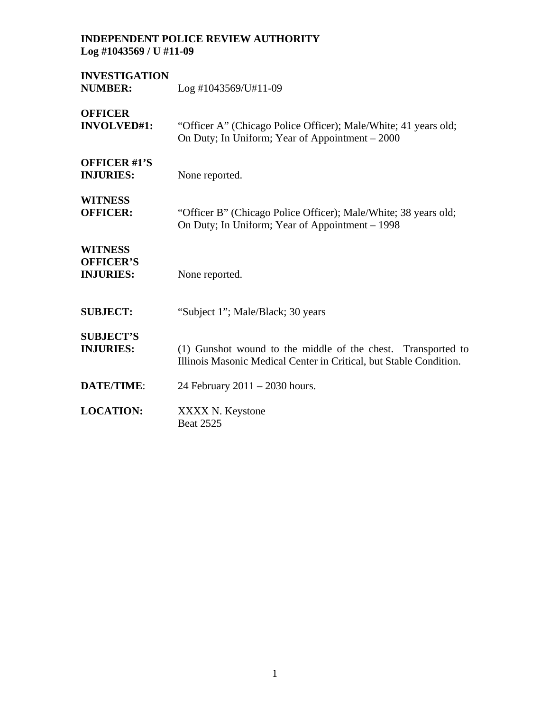| <b>INVESTIGATION</b><br><b>NUMBER:</b>                 | $Log$ #1043569/U#11-09                                                                                                             |
|--------------------------------------------------------|------------------------------------------------------------------------------------------------------------------------------------|
| <b>OFFICER</b><br><b>INVOLVED#1:</b>                   | "Officer A" (Chicago Police Officer); Male/White; 41 years old;<br>On Duty; In Uniform; Year of Appointment – 2000                 |
| <b>OFFICER #1'S</b><br><b>INJURIES:</b>                | None reported.                                                                                                                     |
| <b>WITNESS</b><br><b>OFFICER:</b>                      | "Officer B" (Chicago Police Officer); Male/White; 38 years old;<br>On Duty; In Uniform; Year of Appointment – 1998                 |
| <b>WITNESS</b><br><b>OFFICER'S</b><br><b>INJURIES:</b> | None reported.                                                                                                                     |
| <b>SUBJECT:</b>                                        | "Subject 1"; Male/Black; 30 years                                                                                                  |
| <b>SUBJECT'S</b><br><b>INJURIES:</b>                   | (1) Gunshot wound to the middle of the chest. Transported to<br>Illinois Masonic Medical Center in Critical, but Stable Condition. |
| <b>DATE/TIME:</b>                                      | 24 February $2011 - 2030$ hours.                                                                                                   |
| <b>LOCATION:</b>                                       | XXXX N. Keystone<br><b>Beat 2525</b>                                                                                               |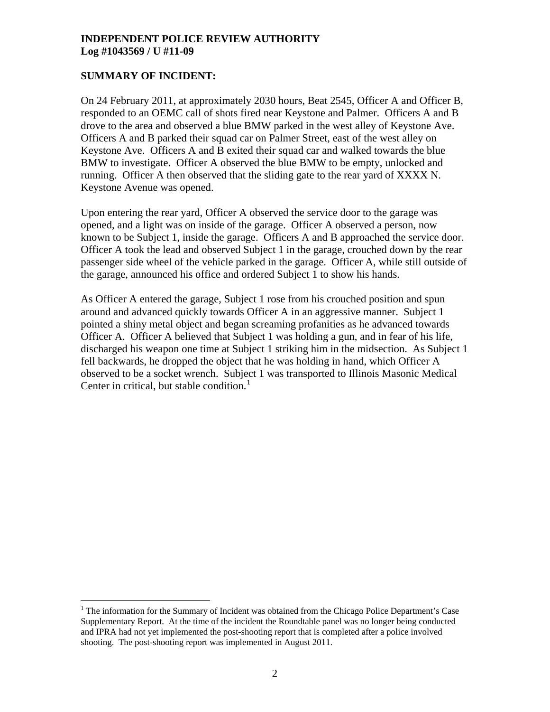# **SUMMARY OF INCIDENT:**

 $\overline{a}$ 

On 24 February 2011, at approximately 2030 hours, Beat 2545, Officer A and Officer B, responded to an OEMC call of shots fired near Keystone and Palmer. Officers A and B drove to the area and observed a blue BMW parked in the west alley of Keystone Ave. Officers A and B parked their squad car on Palmer Street, east of the west alley on Keystone Ave. Officers A and B exited their squad car and walked towards the blue BMW to investigate. Officer A observed the blue BMW to be empty, unlocked and running. Officer A then observed that the sliding gate to the rear yard of XXXX N. Keystone Avenue was opened.

Upon entering the rear yard, Officer A observed the service door to the garage was opened, and a light was on inside of the garage. Officer A observed a person, now known to be Subject 1, inside the garage. Officers A and B approached the service door. Officer A took the lead and observed Subject 1 in the garage, crouched down by the rear passenger side wheel of the vehicle parked in the garage. Officer A, while still outside of the garage, announced his office and ordered Subject 1 to show his hands.

As Officer A entered the garage, Subject 1 rose from his crouched position and spun around and advanced quickly towards Officer A in an aggressive manner. Subject 1 pointed a shiny metal object and began screaming profanities as he advanced towards Officer A. Officer A believed that Subject 1 was holding a gun, and in fear of his life, discharged his weapon one time at Subject 1 striking him in the midsection. As Subject 1 fell backwards, he dropped the object that he was holding in hand, which Officer A observed to be a socket wrench. Subject 1 was transported to Illinois Masonic Medical Center in critical, but stable condition. $<sup>1</sup>$  $<sup>1</sup>$  $<sup>1</sup>$ </sup>

<span id="page-1-0"></span> $<sup>1</sup>$  The information for the Summary of Incident was obtained from the Chicago Police Department's Case</sup> Supplementary Report. At the time of the incident the Roundtable panel was no longer being conducted and IPRA had not yet implemented the post-shooting report that is completed after a police involved shooting. The post-shooting report was implemented in August 2011.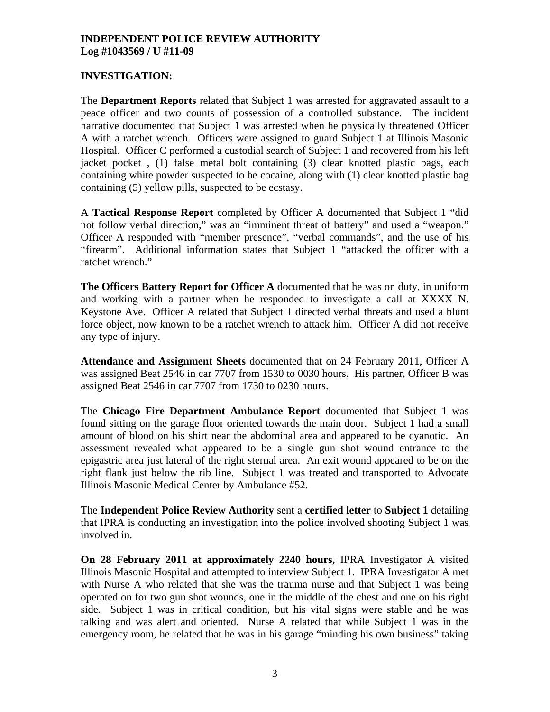# **INVESTIGATION:**

The **Department Reports** related that Subject 1 was arrested for aggravated assault to a peace officer and two counts of possession of a controlled substance. The incident narrative documented that Subject 1 was arrested when he physically threatened Officer A with a ratchet wrench. Officers were assigned to guard Subject 1 at Illinois Masonic Hospital. Officer C performed a custodial search of Subject 1 and recovered from his left jacket pocket , (1) false metal bolt containing (3) clear knotted plastic bags, each containing white powder suspected to be cocaine, along with (1) clear knotted plastic bag containing (5) yellow pills, suspected to be ecstasy.

A **Tactical Response Report** completed by Officer A documented that Subject 1 "did not follow verbal direction," was an "imminent threat of battery" and used a "weapon." Officer A responded with "member presence", "verbal commands", and the use of his "firearm". Additional information states that Subject 1 "attacked the officer with a ratchet wrench."

**The Officers Battery Report for Officer A** documented that he was on duty, in uniform and working with a partner when he responded to investigate a call at XXXX N. Keystone Ave. Officer A related that Subject 1 directed verbal threats and used a blunt force object, now known to be a ratchet wrench to attack him. Officer A did not receive any type of injury.

**Attendance and Assignment Sheets** documented that on 24 February 2011, Officer A was assigned Beat 2546 in car 7707 from 1530 to 0030 hours. His partner, Officer B was assigned Beat 2546 in car 7707 from 1730 to 0230 hours.

The **Chicago Fire Department Ambulance Report** documented that Subject 1 was found sitting on the garage floor oriented towards the main door. Subject 1 had a small amount of blood on his shirt near the abdominal area and appeared to be cyanotic. An assessment revealed what appeared to be a single gun shot wound entrance to the epigastric area just lateral of the right sternal area. An exit wound appeared to be on the right flank just below the rib line. Subject 1 was treated and transported to Advocate Illinois Masonic Medical Center by Ambulance #52.

The **Independent Police Review Authority** sent a **certified letter** to **Subject 1** detailing that IPRA is conducting an investigation into the police involved shooting Subject 1 was involved in.

**On 28 February 2011 at approximately 2240 hours,** IPRA Investigator A visited Illinois Masonic Hospital and attempted to interview Subject 1. IPRA Investigator A met with Nurse A who related that she was the trauma nurse and that Subject 1 was being operated on for two gun shot wounds, one in the middle of the chest and one on his right side. Subject 1 was in critical condition, but his vital signs were stable and he was talking and was alert and oriented. Nurse A related that while Subject 1 was in the emergency room, he related that he was in his garage "minding his own business" taking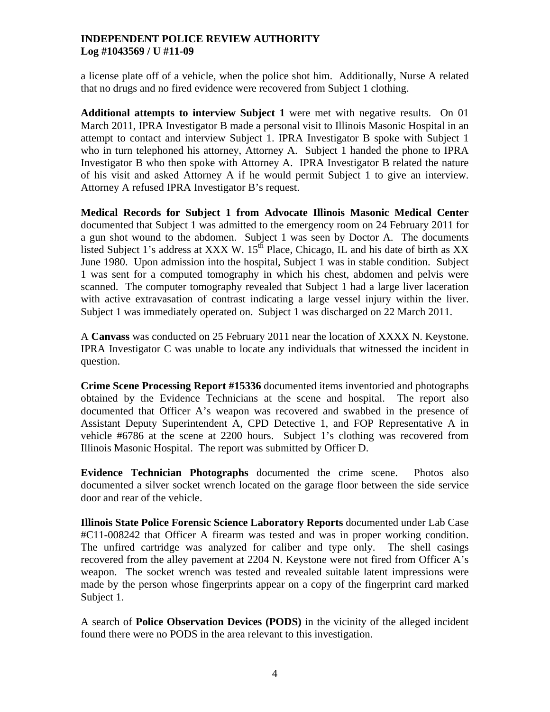a license plate off of a vehicle, when the police shot him. Additionally, Nurse A related that no drugs and no fired evidence were recovered from Subject 1 clothing.

**Additional attempts to interview Subject 1** were met with negative results. On 01 March 2011, IPRA Investigator B made a personal visit to Illinois Masonic Hospital in an attempt to contact and interview Subject 1. IPRA Investigator B spoke with Subject 1 who in turn telephoned his attorney, Attorney A. Subject 1 handed the phone to IPRA Investigator B who then spoke with Attorney A. IPRA Investigator B related the nature of his visit and asked Attorney A if he would permit Subject 1 to give an interview. Attorney A refused IPRA Investigator B's request.

**Medical Records for Subject 1 from Advocate Illinois Masonic Medical Center** documented that Subject 1 was admitted to the emergency room on 24 February 2011 for a gun shot wound to the abdomen. Subject 1 was seen by Doctor A. The documents listed Subject 1's address at XXX W.  $15<sup>th</sup>$  Place, Chicago, IL and his date of birth as XX June 1980. Upon admission into the hospital, Subject 1 was in stable condition. Subject 1 was sent for a computed tomography in which his chest, abdomen and pelvis were scanned. The computer tomography revealed that Subject 1 had a large liver laceration with active extravasation of contrast indicating a large vessel injury within the liver. Subject 1 was immediately operated on. Subject 1 was discharged on 22 March 2011.

A **Canvass** was conducted on 25 February 2011 near the location of XXXX N. Keystone. IPRA Investigator C was unable to locate any individuals that witnessed the incident in question.

**Crime Scene Processing Report #15336** documented items inventoried and photographs obtained by the Evidence Technicians at the scene and hospital. The report also documented that Officer A's weapon was recovered and swabbed in the presence of Assistant Deputy Superintendent A, CPD Detective 1, and FOP Representative A in vehicle #6786 at the scene at 2200 hours. Subject 1's clothing was recovered from Illinois Masonic Hospital. The report was submitted by Officer D.

**Evidence Technician Photographs** documented the crime scene. Photos also documented a silver socket wrench located on the garage floor between the side service door and rear of the vehicle.

**Illinois State Police Forensic Science Laboratory Reports** documented under Lab Case #C11-008242 that Officer A firearm was tested and was in proper working condition. The unfired cartridge was analyzed for caliber and type only. The shell casings recovered from the alley pavement at 2204 N. Keystone were not fired from Officer A's weapon. The socket wrench was tested and revealed suitable latent impressions were made by the person whose fingerprints appear on a copy of the fingerprint card marked Subject 1.

A search of **Police Observation Devices (PODS)** in the vicinity of the alleged incident found there were no PODS in the area relevant to this investigation.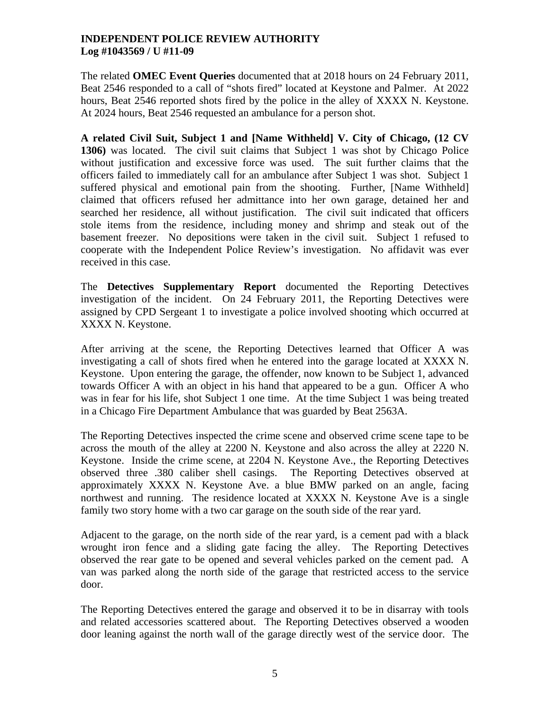The related **OMEC Event Queries** documented that at 2018 hours on 24 February 2011, Beat 2546 responded to a call of "shots fired" located at Keystone and Palmer. At 2022 hours, Beat 2546 reported shots fired by the police in the alley of XXXX N. Keystone. At 2024 hours, Beat 2546 requested an ambulance for a person shot.

**A related Civil Suit, Subject 1 and [Name Withheld] V. City of Chicago, (12 CV 1306)** was located. The civil suit claims that Subject 1 was shot by Chicago Police without justification and excessive force was used. The suit further claims that the officers failed to immediately call for an ambulance after Subject 1 was shot. Subject 1 suffered physical and emotional pain from the shooting. Further, [Name Withheld] claimed that officers refused her admittance into her own garage, detained her and searched her residence, all without justification. The civil suit indicated that officers stole items from the residence, including money and shrimp and steak out of the basement freezer. No depositions were taken in the civil suit. Subject 1 refused to cooperate with the Independent Police Review's investigation. No affidavit was ever received in this case.

The **Detectives Supplementary Report** documented the Reporting Detectives investigation of the incident. On 24 February 2011, the Reporting Detectives were assigned by CPD Sergeant 1 to investigate a police involved shooting which occurred at XXXX N. Keystone.

After arriving at the scene, the Reporting Detectives learned that Officer A was investigating a call of shots fired when he entered into the garage located at XXXX N. Keystone. Upon entering the garage, the offender, now known to be Subject 1, advanced towards Officer A with an object in his hand that appeared to be a gun. Officer A who was in fear for his life, shot Subject 1 one time. At the time Subject 1 was being treated in a Chicago Fire Department Ambulance that was guarded by Beat 2563A.

The Reporting Detectives inspected the crime scene and observed crime scene tape to be across the mouth of the alley at 2200 N. Keystone and also across the alley at 2220 N. Keystone. Inside the crime scene, at 2204 N. Keystone Ave., the Reporting Detectives observed three .380 caliber shell casings. The Reporting Detectives observed at approximately XXXX N. Keystone Ave. a blue BMW parked on an angle, facing northwest and running. The residence located at XXXX N. Keystone Ave is a single family two story home with a two car garage on the south side of the rear yard.

Adjacent to the garage, on the north side of the rear yard, is a cement pad with a black wrought iron fence and a sliding gate facing the alley. The Reporting Detectives observed the rear gate to be opened and several vehicles parked on the cement pad. A van was parked along the north side of the garage that restricted access to the service door.

The Reporting Detectives entered the garage and observed it to be in disarray with tools and related accessories scattered about. The Reporting Detectives observed a wooden door leaning against the north wall of the garage directly west of the service door. The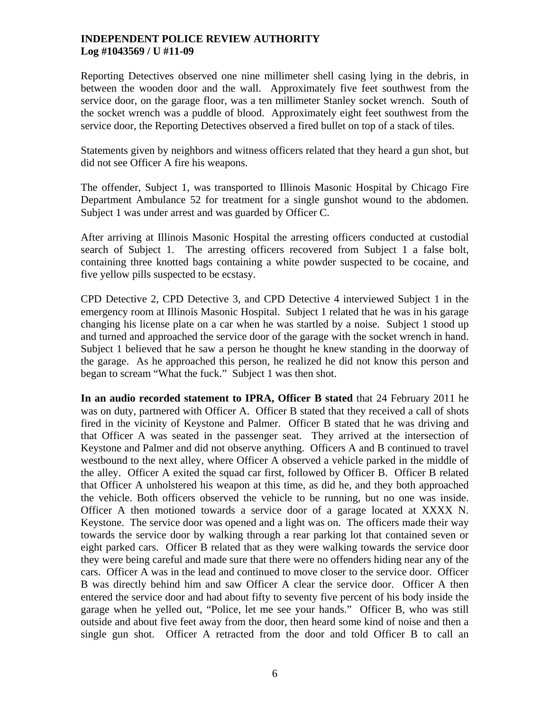Reporting Detectives observed one nine millimeter shell casing lying in the debris, in between the wooden door and the wall. Approximately five feet southwest from the service door, on the garage floor, was a ten millimeter Stanley socket wrench. South of the socket wrench was a puddle of blood. Approximately eight feet southwest from the service door, the Reporting Detectives observed a fired bullet on top of a stack of tiles.

Statements given by neighbors and witness officers related that they heard a gun shot, but did not see Officer A fire his weapons.

The offender, Subject 1, was transported to Illinois Masonic Hospital by Chicago Fire Department Ambulance 52 for treatment for a single gunshot wound to the abdomen. Subject 1 was under arrest and was guarded by Officer C.

After arriving at Illinois Masonic Hospital the arresting officers conducted at custodial search of Subject 1. The arresting officers recovered from Subject 1 a false bolt, containing three knotted bags containing a white powder suspected to be cocaine, and five yellow pills suspected to be ecstasy.

CPD Detective 2, CPD Detective 3, and CPD Detective 4 interviewed Subject 1 in the emergency room at Illinois Masonic Hospital. Subject 1 related that he was in his garage changing his license plate on a car when he was startled by a noise. Subject 1 stood up and turned and approached the service door of the garage with the socket wrench in hand. Subject 1 believed that he saw a person he thought he knew standing in the doorway of the garage. As he approached this person, he realized he did not know this person and began to scream "What the fuck." Subject 1 was then shot.

**In an audio recorded statement to IPRA, Officer B stated** that 24 February 2011 he was on duty, partnered with Officer A. Officer B stated that they received a call of shots fired in the vicinity of Keystone and Palmer. Officer B stated that he was driving and that Officer A was seated in the passenger seat. They arrived at the intersection of Keystone and Palmer and did not observe anything. Officers A and B continued to travel westbound to the next alley, where Officer A observed a vehicle parked in the middle of the alley. Officer A exited the squad car first, followed by Officer B. Officer B related that Officer A unholstered his weapon at this time, as did he, and they both approached the vehicle. Both officers observed the vehicle to be running, but no one was inside. Officer A then motioned towards a service door of a garage located at XXXX N. Keystone. The service door was opened and a light was on. The officers made their way towards the service door by walking through a rear parking lot that contained seven or eight parked cars. Officer B related that as they were walking towards the service door they were being careful and made sure that there were no offenders hiding near any of the cars. Officer A was in the lead and continued to move closer to the service door. Officer B was directly behind him and saw Officer A clear the service door. Officer A then entered the service door and had about fifty to seventy five percent of his body inside the garage when he yelled out, "Police, let me see your hands." Officer B, who was still outside and about five feet away from the door, then heard some kind of noise and then a single gun shot. Officer A retracted from the door and told Officer B to call an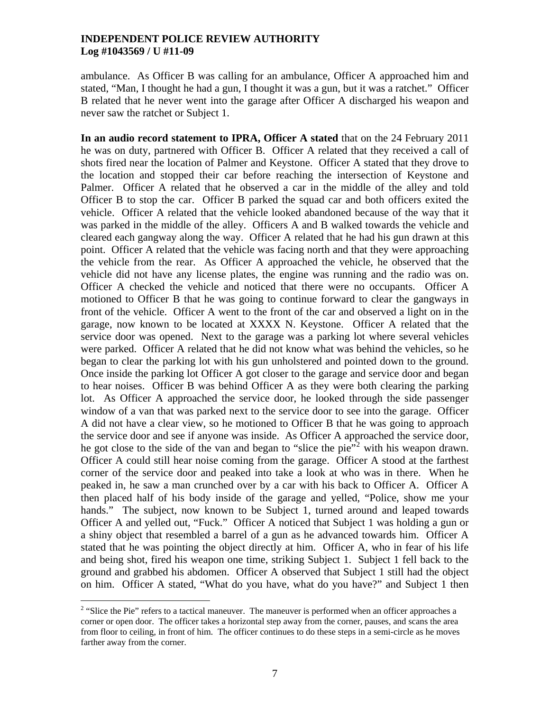ambulance. As Officer B was calling for an ambulance, Officer A approached him and stated, "Man, I thought he had a gun, I thought it was a gun, but it was a ratchet." Officer B related that he never went into the garage after Officer A discharged his weapon and never saw the ratchet or Subject 1.

**In an audio record statement to IPRA, Officer A stated** that on the 24 February 2011 he was on duty, partnered with Officer B. Officer A related that they received a call of shots fired near the location of Palmer and Keystone. Officer A stated that they drove to the location and stopped their car before reaching the intersection of Keystone and Palmer. Officer A related that he observed a car in the middle of the alley and told Officer B to stop the car. Officer B parked the squad car and both officers exited the vehicle. Officer A related that the vehicle looked abandoned because of the way that it was parked in the middle of the alley. Officers A and B walked towards the vehicle and cleared each gangway along the way. Officer A related that he had his gun drawn at this point. Officer A related that the vehicle was facing north and that they were approaching the vehicle from the rear. As Officer A approached the vehicle, he observed that the vehicle did not have any license plates, the engine was running and the radio was on. Officer A checked the vehicle and noticed that there were no occupants. Officer A motioned to Officer B that he was going to continue forward to clear the gangways in front of the vehicle. Officer A went to the front of the car and observed a light on in the garage, now known to be located at XXXX N. Keystone. Officer A related that the service door was opened. Next to the garage was a parking lot where several vehicles were parked. Officer A related that he did not know what was behind the vehicles, so he began to clear the parking lot with his gun unholstered and pointed down to the ground. Once inside the parking lot Officer A got closer to the garage and service door and began to hear noises. Officer B was behind Officer A as they were both clearing the parking lot. As Officer A approached the service door, he looked through the side passenger window of a van that was parked next to the service door to see into the garage. Officer A did not have a clear view, so he motioned to Officer B that he was going to approach the service door and see if anyone was inside. As Officer A approached the service door, he got close to the side of the van and began to "slice the pie" $\frac{1}{2}$  $\frac{1}{2}$  $\frac{1}{2}$  with his weapon drawn. Officer A could still hear noise coming from the garage. Officer A stood at the farthest corner of the service door and peaked into take a look at who was in there. When he peaked in, he saw a man crunched over by a car with his back to Officer A. Officer A then placed half of his body inside of the garage and yelled, "Police, show me your hands." The subject, now known to be Subject 1, turned around and leaped towards Officer A and yelled out, "Fuck." Officer A noticed that Subject 1 was holding a gun or a shiny object that resembled a barrel of a gun as he advanced towards him. Officer A stated that he was pointing the object directly at him. Officer A, who in fear of his life and being shot, fired his weapon one time, striking Subject 1. Subject 1 fell back to the ground and grabbed his abdomen. Officer A observed that Subject 1 still had the object on him. Officer A stated, "What do you have, what do you have?" and Subject 1 then

 $\overline{a}$ 

<span id="page-6-0"></span> $2$  "Slice the Pie" refers to a tactical maneuver. The maneuver is performed when an officer approaches a corner or open door. The officer takes a horizontal step away from the corner, pauses, and scans the area from floor to ceiling, in front of him. The officer continues to do these steps in a semi-circle as he moves farther away from the corner.